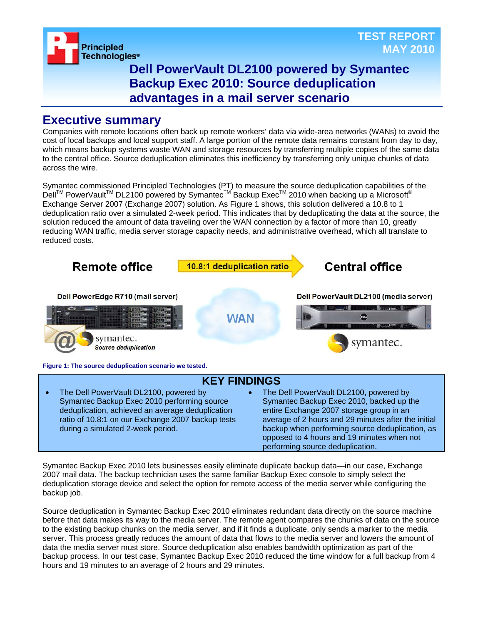

## **Dell PowerVault DL2100 powered by Symantec Backup Exec 2010: Source deduplication advantages in a mail server scenario**

## **Executive summary**

Companies with remote locations often back up remote workers' data via wide-area networks (WANs) to avoid the cost of local backups and local support staff. A large portion of the remote data remains constant from day to day, which means backup systems waste WAN and storage resources by transferring multiple copies of the same data to the central office. Source deduplication eliminates this inefficiency by transferring only unique chunks of data across the wire.

Symantec commissioned Principled Technologies (PT) to measure the source deduplication capabilities of the Dell™ PowerVault<sup>™</sup> DL2100 powered by Symantec<sup>™</sup> Backup Exec<sup>™</sup> 2010 when backing up a Microsoft<sup>®</sup> Exchange Server 2007 (Exchange 2007) solution. As Figure 1 shows, this solution delivered a 10.8 to 1 deduplication ratio over a simulated 2-week period. This indicates that by deduplicating the data at the source, the solution reduced the amount of data traveling over the WAN connection by a factor of more than 10, greatly reducing WAN traffic, media server storage capacity needs, and administrative overhead, which all translate to reduced costs.



Symantec Backup Exec 2010 lets businesses easily eliminate duplicate backup data—in our case, Exchange 2007 mail data. The backup technician uses the same familiar Backup Exec console to simply select the deduplication storage device and select the option for remote access of the media server while configuring the backup job.

performing source deduplication.

Source deduplication in Symantec Backup Exec 2010 eliminates redundant data directly on the source machine before that data makes its way to the media server. The remote agent compares the chunks of data on the source to the existing backup chunks on the media server, and if it finds a duplicate, only sends a marker to the media server. This process greatly reduces the amount of data that flows to the media server and lowers the amount of data the media server must store. Source deduplication also enables bandwidth optimization as part of the backup process. In our test case, Symantec Backup Exec 2010 reduced the time window for a full backup from 4 hours and 19 minutes to an average of 2 hours and 29 minutes.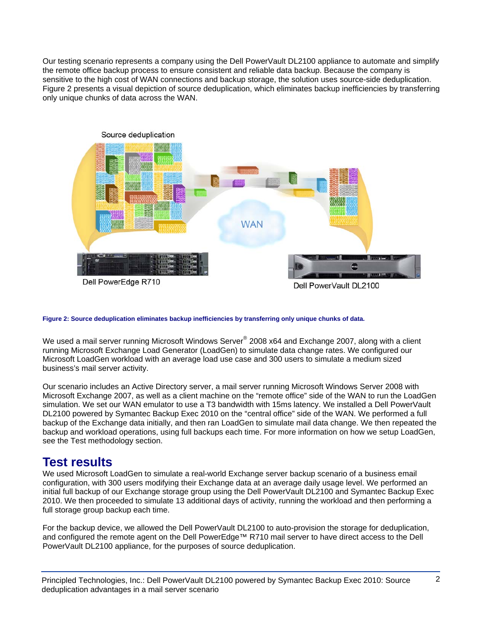Our testing scenario represents a company using the Dell PowerVault DL2100 appliance to automate and simplify the remote office backup process to ensure consistent and reliable data backup. Because the company is sensitive to the high cost of WAN connections and backup storage, the solution uses source-side deduplication. Figure 2 presents a visual depiction of source deduplication, which eliminates backup inefficiencies by transferring only unique chunks of data across the WAN.



**Figure 2: Source deduplication eliminates backup inefficiencies by transferring only unique chunks of data.** 

We used a mail server running Microsoft Windows Server® 2008 x64 and Exchange 2007, along with a client running Microsoft Exchange Load Generator (LoadGen) to simulate data change rates. We configured our Microsoft LoadGen workload with an average load use case and 300 users to simulate a medium sized business's mail server activity.

Our scenario includes an Active Directory server, a mail server running Microsoft Windows Server 2008 with Microsoft Exchange 2007, as well as a client machine on the "remote office" side of the WAN to run the LoadGen simulation. We set our WAN emulator to use a T3 bandwidth with 15ms latency. We installed a Dell PowerVault DL2100 powered by Symantec Backup Exec 2010 on the "central office" side of the WAN. We performed a full backup of the Exchange data initially, and then ran LoadGen to simulate mail data change. We then repeated the backup and workload operations, using full backups each time. For more information on how we setup LoadGen, see the Test methodology section.

## **Test results**

We used Microsoft LoadGen to simulate a real-world Exchange server backup scenario of a business email configuration, with 300 users modifying their Exchange data at an average daily usage level. We performed an initial full backup of our Exchange storage group using the Dell PowerVault DL2100 and Symantec Backup Exec 2010. We then proceeded to simulate 13 additional days of activity, running the workload and then performing a full storage group backup each time.

For the backup device, we allowed the Dell PowerVault DL2100 to auto-provision the storage for deduplication, and configured the remote agent on the Dell PowerEdge™ R710 mail server to have direct access to the Dell PowerVault DL2100 appliance, for the purposes of source deduplication.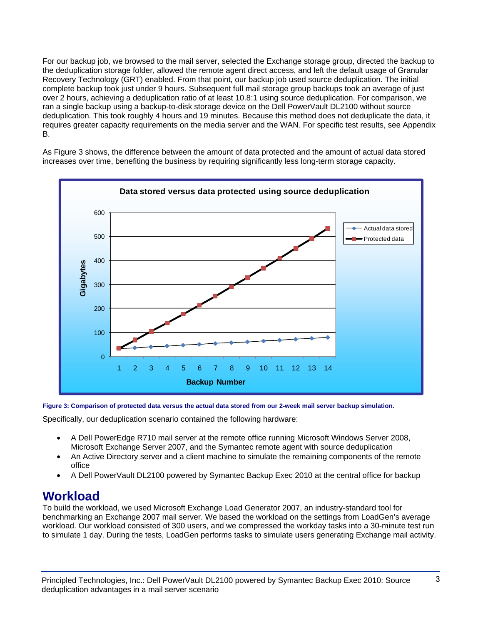For our backup job, we browsed to the mail server, selected the Exchange storage group, directed the backup to the deduplication storage folder, allowed the remote agent direct access, and left the default usage of Granular Recovery Technology (GRT) enabled. From that point, our backup job used source deduplication. The initial complete backup took just under 9 hours. Subsequent full mail storage group backups took an average of just over 2 hours, achieving a deduplication ratio of at least 10.8:1 using source deduplication. For comparison, we ran a single backup using a backup-to-disk storage device on the Dell PowerVault DL2100 without source deduplication. This took roughly 4 hours and 19 minutes. Because this method does not deduplicate the data, it requires greater capacity requirements on the media server and the WAN. For specific test results, see Appendix B.

As Figure 3 shows, the difference between the amount of data protected and the amount of actual data stored increases over time, benefiting the business by requiring significantly less long-term storage capacity.



#### **Figure 3: Comparison of protected data versus the actual data stored from our 2-week mail server backup simulation.**

Specifically, our deduplication scenario contained the following hardware:

- A Dell PowerEdge R710 mail server at the remote office running Microsoft Windows Server 2008, Microsoft Exchange Server 2007, and the Symantec remote agent with source deduplication
- An Active Directory server and a client machine to simulate the remaining components of the remote office
- A Dell PowerVault DL2100 powered by Symantec Backup Exec 2010 at the central office for backup

## **Workload**

To build the workload, we used Microsoft Exchange Load Generator 2007, an industry-standard tool for benchmarking an Exchange 2007 mail server. We based the workload on the settings from LoadGen's average workload. Our workload consisted of 300 users, and we compressed the workday tasks into a 30-minute test run to simulate 1 day. During the tests, LoadGen performs tasks to simulate users generating Exchange mail activity.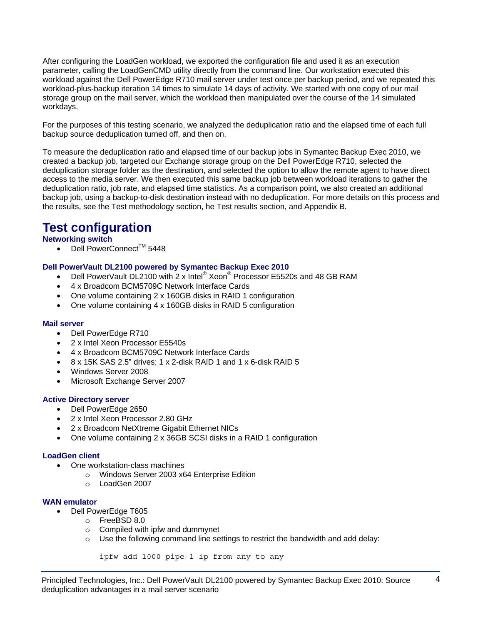After configuring the LoadGen workload, we exported the configuration file and used it as an execution parameter, calling the LoadGenCMD utility directly from the command line. Our workstation executed this workload against the Dell PowerEdge R710 mail server under test once per backup period, and we repeated this workload-plus-backup iteration 14 times to simulate 14 days of activity. We started with one copy of our mail storage group on the mail server, which the workload then manipulated over the course of the 14 simulated workdays.

For the purposes of this testing scenario, we analyzed the deduplication ratio and the elapsed time of each full backup source deduplication turned off, and then on.

To measure the deduplication ratio and elapsed time of our backup jobs in Symantec Backup Exec 2010, we created a backup job, targeted our Exchange storage group on the Dell PowerEdge R710, selected the deduplication storage folder as the destination, and selected the option to allow the remote agent to have direct access to the media server. We then executed this same backup job between workload iterations to gather the deduplication ratio, job rate, and elapsed time statistics. As a comparison point, we also created an additional backup job, using a backup-to-disk destination instead with no deduplication. For more details on this process and the results, see the Test methodology section, he Test results section, and Appendix B.

# **Test configuration**

### **Networking switch**

• Dell PowerConnect<sup>TM</sup> 5448

#### **Dell PowerVault DL2100 powered by Symantec Backup Exec 2010**

- Dell PowerVault DL2100 with  $2 \times$  Intel® Xeon® Processor E5520s and 48 GB RAM
- 4 x Broadcom BCM5709C Network Interface Cards
- One volume containing 2 x 160GB disks in RAID 1 configuration
- One volume containing 4 x 160GB disks in RAID 5 configuration

#### **Mail server**

- Dell PowerEdge R710
- 2 x Intel Xeon Processor E5540s
- 4 x Broadcom BCM5709C Network Interface Cards
- 8 x 15K SAS 2.5" drives; 1 x 2-disk RAID 1 and 1 x 6-disk RAID 5
- Windows Server 2008
- Microsoft Exchange Server 2007

#### **Active Directory server**

- Dell PowerEdge 2650
- 2 x Intel Xeon Processor 2.80 GHz
- 2 x Broadcom NetXtreme Gigabit Ethernet NICs
- One volume containing 2 x 36GB SCSI disks in a RAID 1 configuration

#### **LoadGen client**

- One workstation-class machines
	- o Windows Server 2003 x64 Enterprise Edition
	- o LoadGen 2007

#### **WAN emulator**

- Dell PowerEdge T605
	- o FreeBSD 8.0
	- o Compiled with ipfw and dummynet
	- o Use the following command line settings to restrict the bandwidth and add delay:

```
ipfw add 1000 pipe 1 ip from any to any
```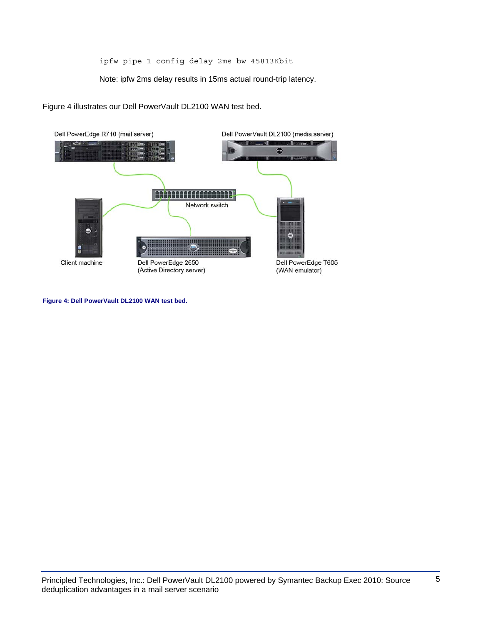ipfw pipe 1 config delay 2ms bw 45813Kbit

Note: ipfw 2ms delay results in 15ms actual round-trip latency.

Figure 4 illustrates our Dell PowerVault DL2100 WAN test bed.



**Figure 4: Dell PowerVault DL2100 WAN test bed.**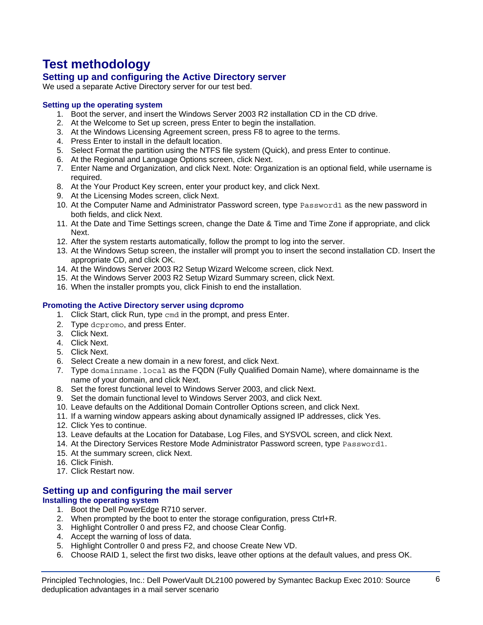# **Test methodology**

## **Setting up and configuring the Active Directory server**

We used a separate Active Directory server for our test bed.

### **Setting up the operating system**

- 1. Boot the server, and insert the Windows Server 2003 R2 installation CD in the CD drive.
- 2. At the Welcome to Set up screen, press Enter to begin the installation.
- 3. At the Windows Licensing Agreement screen, press F8 to agree to the terms.
- 4. Press Enter to install in the default location.
- 5. Select Format the partition using the NTFS file system (Quick), and press Enter to continue.
- 6. At the Regional and Language Options screen, click Next.
- 7. Enter Name and Organization, and click Next. Note: Organization is an optional field, while username is required.
- 8. At the Your Product Key screen, enter your product key, and click Next.
- 9. At the Licensing Modes screen, click Next.
- 10. At the Computer Name and Administrator Password screen, type Password1 as the new password in both fields, and click Next.
- 11. At the Date and Time Settings screen, change the Date & Time and Time Zone if appropriate, and click Next.
- 12. After the system restarts automatically, follow the prompt to log into the server.
- 13. At the Windows Setup screen, the installer will prompt you to insert the second installation CD. Insert the appropriate CD, and click OK.
- 14. At the Windows Server 2003 R2 Setup Wizard Welcome screen, click Next.
- 15. At the Windows Server 2003 R2 Setup Wizard Summary screen, click Next.
- 16. When the installer prompts you, click Finish to end the installation.

### **Promoting the Active Directory server using dcpromo**

- 1. Click Start, click Run, type cmd in the prompt, and press Enter.
- 2. Type dcpromo, and press Enter.
- 3. Click Next.
- 4. Click Next.
- 5. Click Next.
- 6. Select Create a new domain in a new forest, and click Next.
- 7. Type domainname. local as the FQDN (Fully Qualified Domain Name), where domainname is the name of your domain, and click Next.
- 8. Set the forest functional level to Windows Server 2003, and click Next.
- 9. Set the domain functional level to Windows Server 2003, and click Next.
- 10. Leave defaults on the Additional Domain Controller Options screen, and click Next.
- 11. If a warning window appears asking about dynamically assigned IP addresses, click Yes.
- 12. Click Yes to continue.
- 13. Leave defaults at the Location for Database, Log Files, and SYSVOL screen, and click Next.
- 14. At the Directory Services Restore Mode Administrator Password screen, type Password1.
- 15. At the summary screen, click Next.
- 16. Click Finish.
- 17. Click Restart now.

## **Setting up and configuring the mail server**

### **Installing the operating system**

- 1. Boot the Dell PowerEdge R710 server.
- 2. When prompted by the boot to enter the storage configuration, press Ctrl+R.
- 3. Highlight Controller 0 and press F2, and choose Clear Config.
- 4. Accept the warning of loss of data.
- 5. Highlight Controller 0 and press F2, and choose Create New VD.
- 6. Choose RAID 1, select the first two disks, leave other options at the default values, and press OK.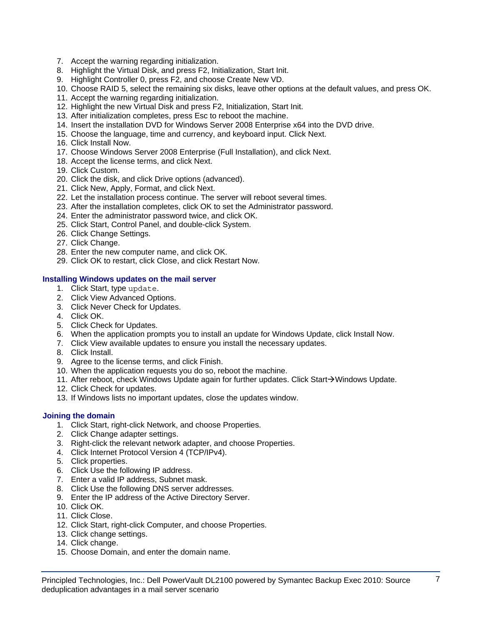- 7. Accept the warning regarding initialization.
- 8. Highlight the Virtual Disk, and press F2, Initialization, Start Init.
- 9. Highlight Controller 0, press F2, and choose Create New VD.
- 10. Choose RAID 5, select the remaining six disks, leave other options at the default values, and press OK.
- 11. Accept the warning regarding initialization.
- 12. Highlight the new Virtual Disk and press F2, Initialization, Start Init.
- 13. After initialization completes, press Esc to reboot the machine.
- 14. Insert the installation DVD for Windows Server 2008 Enterprise x64 into the DVD drive.
- 15. Choose the language, time and currency, and keyboard input. Click Next.
- 16. Click Install Now.
- 17. Choose Windows Server 2008 Enterprise (Full Installation), and click Next.
- 18. Accept the license terms, and click Next.
- 19. Click Custom.
- 20. Click the disk, and click Drive options (advanced).
- 21. Click New, Apply, Format, and click Next.
- 22. Let the installation process continue. The server will reboot several times.
- 23. After the installation completes, click OK to set the Administrator password.
- 24. Enter the administrator password twice, and click OK.
- 25. Click Start, Control Panel, and double-click System.
- 26. Click Change Settings.
- 27. Click Change.
- 28. Enter the new computer name, and click OK.
- 29. Click OK to restart, click Close, and click Restart Now.

#### **Installing Windows updates on the mail server**

- 1. Click Start, type update.
- 2. Click View Advanced Options.
- 3. Click Never Check for Updates.
- 4. Click OK.
- 5. Click Check for Updates.
- 6. When the application prompts you to install an update for Windows Update, click Install Now.
- 7. Click View available updates to ensure you install the necessary updates.
- 8. Click Install.
- 9. Agree to the license terms, and click Finish.
- 10. When the application requests you do so, reboot the machine.
- 11. After reboot, check Windows Update again for further updates. Click Start $\rightarrow$ Windows Update.
- 12. Click Check for updates.
- 13. If Windows lists no important updates, close the updates window.

#### **Joining the domain**

- 1. Click Start, right-click Network, and choose Properties.
- 2. Click Change adapter settings.
- 3. Right-click the relevant network adapter, and choose Properties.
- 4. Click Internet Protocol Version 4 (TCP/IPv4).
- 5. Click properties.
- 6. Click Use the following IP address.
- 7. Enter a valid IP address, Subnet mask.
- 8. Click Use the following DNS server addresses.
- 9. Enter the IP address of the Active Directory Server.
- 10. Click OK.
- 11. Click Close.
- 12. Click Start, right-click Computer, and choose Properties.
- 13. Click change settings.
- 14. Click change.
- 15. Choose Domain, and enter the domain name.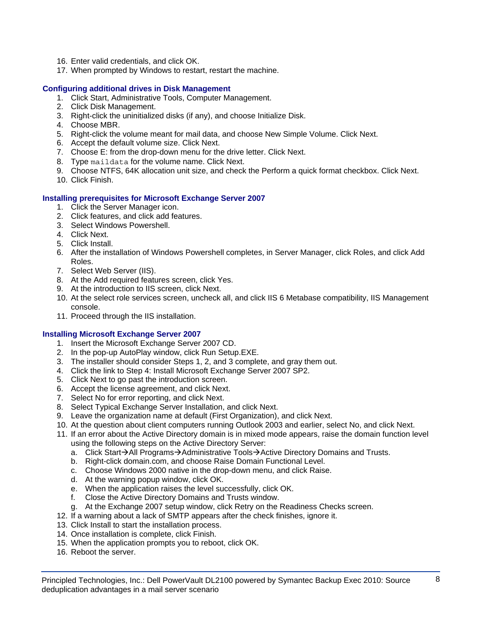- 16. Enter valid credentials, and click OK.
- 17. When prompted by Windows to restart, restart the machine.

#### **Configuring additional drives in Disk Management**

- 1. Click Start, Administrative Tools, Computer Management.
- 2. Click Disk Management.
- 3. Right-click the uninitialized disks (if any), and choose Initialize Disk.
- 4. Choose MBR.
- 5. Right-click the volume meant for mail data, and choose New Simple Volume. Click Next.
- 6. Accept the default volume size. Click Next.
- 7. Choose E: from the drop-down menu for the drive letter. Click Next.
- 8. Type maildata for the volume name. Click Next.
- 9. Choose NTFS, 64K allocation unit size, and check the Perform a quick format checkbox. Click Next.
- 10. Click Finish.

#### **Installing prerequisites for Microsoft Exchange Server 2007**

- 1. Click the Server Manager icon.
- 2. Click features, and click add features.
- 3. Select Windows Powershell.
- 4. Click Next.
- 5. Click Install.
- 6. After the installation of Windows Powershell completes, in Server Manager, click Roles, and click Add Roles.
- 7. Select Web Server (IIS).
- 8. At the Add required features screen, click Yes.
- 9. At the introduction to IIS screen, click Next.
- 10. At the select role services screen, uncheck all, and click IIS 6 Metabase compatibility, IIS Management console.
- 11. Proceed through the IIS installation.

#### **Installing Microsoft Exchange Server 2007**

- 1. Insert the Microsoft Exchange Server 2007 CD.
- 2. In the pop-up AutoPlay window, click Run Setup.EXE.
- 3. The installer should consider Steps 1, 2, and 3 complete, and gray them out.
- 4. Click the link to Step 4: Install Microsoft Exchange Server 2007 SP2.
- 5. Click Next to go past the introduction screen.
- 6. Accept the license agreement, and click Next.
- 7. Select No for error reporting, and click Next.
- 8. Select Typical Exchange Server Installation, and click Next.
- 9. Leave the organization name at default (First Organization), and click Next.
- 10. At the question about client computers running Outlook 2003 and earlier, select No, and click Next.
- 11. If an error about the Active Directory domain is in mixed mode appears, raise the domain function level using the following steps on the Active Directory Server:
	- a. Click Start $\rightarrow$ All Programs $\rightarrow$ Administrative Tools $\rightarrow$ Active Directory Domains and Trusts.
	- b. Right-click domain.com, and choose Raise Domain Functional Level.
	- c. Choose Windows 2000 native in the drop-down menu, and click Raise.
	- d. At the warning popup window, click OK.
	- e. When the application raises the level successfully, click OK.
	- f. Close the Active Directory Domains and Trusts window.
	- g. At the Exchange 2007 setup window, click Retry on the Readiness Checks screen.
- 12. If a warning about a lack of SMTP appears after the check finishes, ignore it.
- 13. Click Install to start the installation process.
- 14. Once installation is complete, click Finish.
- 15. When the application prompts you to reboot, click OK.
- 16. Reboot the server.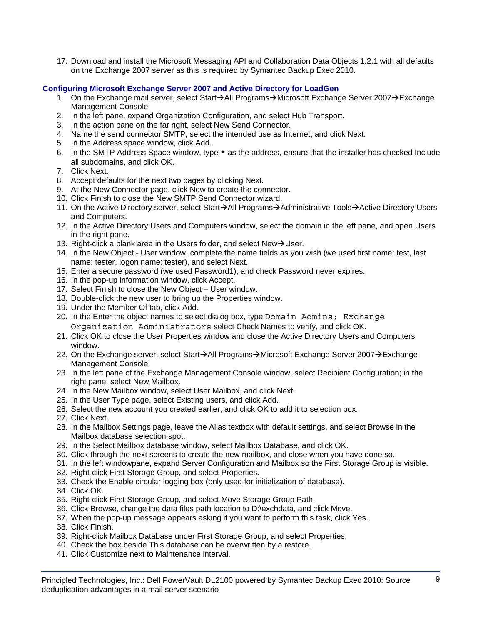17. Download and install the Microsoft Messaging API and Collaboration Data Objects 1.2.1 with all defaults on the Exchange 2007 server as this is required by Symantec Backup Exec 2010.

#### **Configuring Microsoft Exchange Server 2007 and Active Directory for LoadGen**

- 1. On the Exchange mail server, select Start→All Programs→Microsoft Exchange Server 2007→Exchange Management Console.
- 2. In the left pane, expand Organization Configuration, and select Hub Transport.
- 3. In the action pane on the far right, select New Send Connector.
- 4. Name the send connector SMTP, select the intended use as Internet, and click Next.
- 5. In the Address space window, click Add.
- 6. In the SMTP Address Space window, type \* as the address, ensure that the installer has checked Include all subdomains, and click OK.
- 7. Click Next.
- 8. Accept defaults for the next two pages by clicking Next.
- 9. At the New Connector page, click New to create the connector.
- 10. Click Finish to close the New SMTP Send Connector wizard.
- 11. On the Active Directory server, select Start→All Programs→Administrative Tools→Active Directory Users and Computers.
- 12. In the Active Directory Users and Computers window, select the domain in the left pane, and open Users in the right pane.
- 13. Right-click a blank area in the Users folder, and select New $\rightarrow$ User.
- 14. In the New Object User window, complete the name fields as you wish (we used first name: test, last name: tester, logon name: tester), and select Next.
- 15. Enter a secure password (we used Password1), and check Password never expires.
- 16. In the pop-up information window, click Accept.
- 17. Select Finish to close the New Object User window.
- 18. Double-click the new user to bring up the Properties window.
- 19. Under the Member Of tab, click Add.
- 20. In the Enter the object names to select dialog box, type Domain Admins; Exchange Organization Administrators select Check Names to verify, and click OK.
- 21. Click OK to close the User Properties window and close the Active Directory Users and Computers window.
- 22. On the Exchange server, select Start→All Programs→Microsoft Exchange Server 2007→Exchange Management Console.
- 23. In the left pane of the Exchange Management Console window, select Recipient Configuration; in the right pane, select New Mailbox.
- 24. In the New Mailbox window, select User Mailbox, and click Next.
- 25. In the User Type page, select Existing users, and click Add.
- 26. Select the new account you created earlier, and click OK to add it to selection box.
- 27. Click Next.
- 28. In the Mailbox Settings page, leave the Alias textbox with default settings, and select Browse in the Mailbox database selection spot.
- 29. In the Select Mailbox database window, select Mailbox Database, and click OK.
- 30. Click through the next screens to create the new mailbox, and close when you have done so.
- 31. In the left windowpane, expand Server Configuration and Mailbox so the First Storage Group is visible.
- 32. Right-click First Storage Group, and select Properties.
- 33. Check the Enable circular logging box (only used for initialization of database).
- 34. Click OK.
- 35. Right-click First Storage Group, and select Move Storage Group Path.
- 36. Click Browse, change the data files path location to D:\exchdata, and click Move.
- 37. When the pop-up message appears asking if you want to perform this task, click Yes.
- 38. Click Finish.
- 39. Right-click Mailbox Database under First Storage Group, and select Properties.
- 40. Check the box beside This database can be overwritten by a restore.
- 41. Click Customize next to Maintenance interval.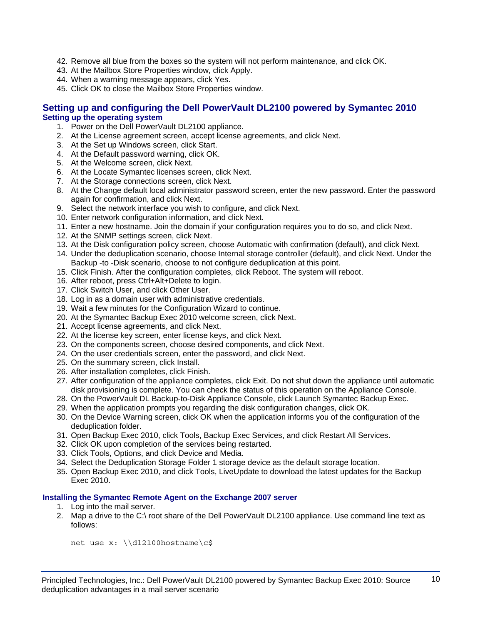- 42. Remove all blue from the boxes so the system will not perform maintenance, and click OK.
- 43. At the Mailbox Store Properties window, click Apply.
- 44. When a warning message appears, click Yes.
- 45. Click OK to close the Mailbox Store Properties window.

#### **Setting up and configuring the Dell PowerVault DL2100 powered by Symantec 2010 Setting up the operating system**

- 1. Power on the Dell PowerVault DL2100 appliance.
- 2. At the License agreement screen, accept license agreements, and click Next.
- 3. At the Set up Windows screen, click Start.
- 4. At the Default password warning, click OK.
- 5. At the Welcome screen, click Next.
- 6. At the Locate Symantec licenses screen, click Next.
- 7. At the Storage connections screen, click Next.
- 8. At the Change default local administrator password screen, enter the new password. Enter the password again for confirmation, and click Next.
- 9. Select the network interface you wish to configure, and click Next.
- 10. Enter network configuration information, and click Next.
- 11. Enter a new hostname. Join the domain if your configuration requires you to do so, and click Next.
- 12. At the SNMP settings screen, click Next.
- 13. At the Disk configuration policy screen, choose Automatic with confirmation (default), and click Next.
- 14. Under the deduplication scenario, choose Internal storage controller (default), and click Next. Under the Backup -to -Disk scenario, choose to not configure deduplication at this point.
- 15. Click Finish. After the configuration completes, click Reboot. The system will reboot.
- 16. After reboot, press Ctrl+Alt+Delete to login.
- 17. Click Switch User, and click Other User.
- 18. Log in as a domain user with administrative credentials.
- 19. Wait a few minutes for the Configuration Wizard to continue.
- 20. At the Symantec Backup Exec 2010 welcome screen, click Next.
- 21. Accept license agreements, and click Next.
- 22. At the license key screen, enter license keys, and click Next.
- 23. On the components screen, choose desired components, and click Next.
- 24. On the user credentials screen, enter the password, and click Next.
- 25. On the summary screen, click Install.
- 26. After installation completes, click Finish.
- 27. After configuration of the appliance completes, click Exit. Do not shut down the appliance until automatic disk provisioning is complete. You can check the status of this operation on the Appliance Console.
- 28. On the PowerVault DL Backup-to-Disk Appliance Console, click Launch Symantec Backup Exec.
- 29. When the application prompts you regarding the disk configuration changes, click OK.
- 30. On the Device Warning screen, click OK when the application informs you of the configuration of the deduplication folder.
- 31. Open Backup Exec 2010, click Tools, Backup Exec Services, and click Restart All Services.
- 32. Click OK upon completion of the services being restarted.
- 33. Click Tools, Options, and click Device and Media.
- 34. Select the Deduplication Storage Folder 1 storage device as the default storage location.
- 35. Open Backup Exec 2010, and click Tools, LiveUpdate to download the latest updates for the Backup Exec 2010.

#### **Installing the Symantec Remote Agent on the Exchange 2007 server**

- 1. Log into the mail server.
- 2. Map a drive to the C:\ root share of the Dell PowerVault DL2100 appliance. Use command line text as follows:

net use x: \\dl2100hostname\c\$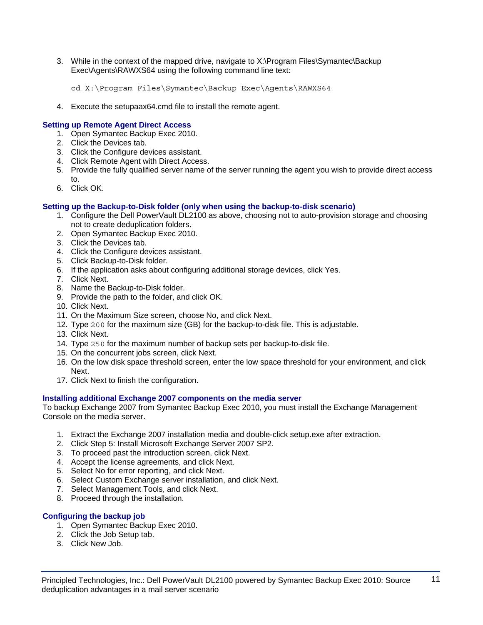3. While in the context of the mapped drive, navigate to X:\Program Files\Symantec\Backup Exec\Agents\RAWXS64 using the following command line text:

```
cd X:\Program Files\Symantec\Backup Exec\Agents\RAWXS64
```
4. Execute the setupaax64.cmd file to install the remote agent.

#### **Setting up Remote Agent Direct Access**

- 1. Open Symantec Backup Exec 2010.
- 2. Click the Devices tab.
- 3. Click the Configure devices assistant.
- 4. Click Remote Agent with Direct Access.
- 5. Provide the fully qualified server name of the server running the agent you wish to provide direct access to.
- 6. Click OK.

#### **Setting up the Backup-to-Disk folder (only when using the backup-to-disk scenario)**

- 1. Configure the Dell PowerVault DL2100 as above, choosing not to auto-provision storage and choosing not to create deduplication folders.
- 2. Open Symantec Backup Exec 2010.
- 3. Click the Devices tab.
- 4. Click the Configure devices assistant.
- 5. Click Backup-to-Disk folder.
- 6. If the application asks about configuring additional storage devices, click Yes.
- 7. Click Next.
- 8. Name the Backup-to-Disk folder.
- 9. Provide the path to the folder, and click OK.
- 10. Click Next.
- 11. On the Maximum Size screen, choose No, and click Next.
- 12. Type 200 for the maximum size (GB) for the backup-to-disk file. This is adjustable.
- 13. Click Next.
- 14. Type 250 for the maximum number of backup sets per backup-to-disk file.
- 15. On the concurrent jobs screen, click Next.
- 16. On the low disk space threshold screen, enter the low space threshold for your environment, and click Next.
- 17. Click Next to finish the configuration.

#### **Installing additional Exchange 2007 components on the media server**

To backup Exchange 2007 from Symantec Backup Exec 2010, you must install the Exchange Management Console on the media server.

- 1. Extract the Exchange 2007 installation media and double-click setup.exe after extraction.
- 2. Click Step 5: Install Microsoft Exchange Server 2007 SP2.
- 3. To proceed past the introduction screen, click Next.
- 4. Accept the license agreements, and click Next.
- 5. Select No for error reporting, and click Next.
- 6. Select Custom Exchange server installation, and click Next.
- 7. Select Management Tools, and click Next.
- 8. Proceed through the installation.

#### **Configuring the backup job**

- 1. Open Symantec Backup Exec 2010.
- 2. Click the Job Setup tab.
- 3. Click New Job.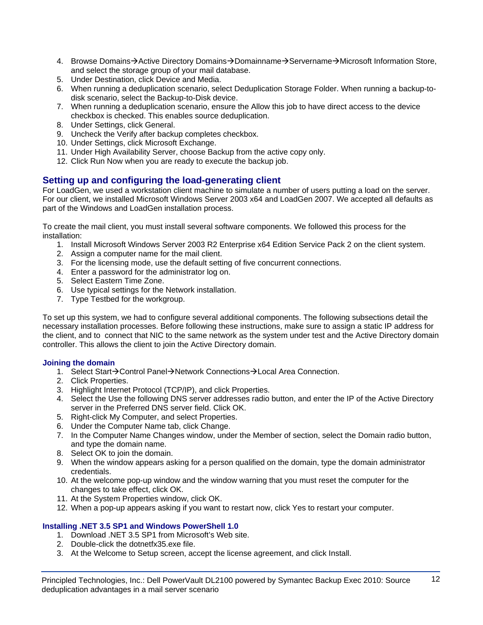- 4. Browse Domains→Active Directory Domains→Domainname→Servername→Microsoft Information Store, and select the storage group of your mail database.
- 5. Under Destination, click Device and Media.
- 6. When running a deduplication scenario, select Deduplication Storage Folder. When running a backup-todisk scenario, select the Backup-to-Disk device.
- 7. When running a deduplication scenario, ensure the Allow this job to have direct access to the device checkbox is checked. This enables source deduplication.
- 8. Under Settings, click General.
- 9. Uncheck the Verify after backup completes checkbox.
- 10. Under Settings, click Microsoft Exchange.
- 11. Under High Availability Server, choose Backup from the active copy only.
- 12. Click Run Now when you are ready to execute the backup job.

### **Setting up and configuring the load-generating client**

For LoadGen, we used a workstation client machine to simulate a number of users putting a load on the server. For our client, we installed Microsoft Windows Server 2003 x64 and LoadGen 2007. We accepted all defaults as part of the Windows and LoadGen installation process.

To create the mail client, you must install several software components. We followed this process for the installation:

- 1. Install Microsoft Windows Server 2003 R2 Enterprise x64 Edition Service Pack 2 on the client system.
- 2. Assign a computer name for the mail client.
- 3. For the licensing mode, use the default setting of five concurrent connections.
- 4. Enter a password for the administrator log on.
- 5. Select Eastern Time Zone.
- 6. Use typical settings for the Network installation.
- 7. Type Testbed for the workgroup.

To set up this system, we had to configure several additional components. The following subsections detail the necessary installation processes. Before following these instructions, make sure to assign a static IP address for the client, and to connect that NIC to the same network as the system under test and the Active Directory domain controller. This allows the client to join the Active Directory domain.

#### **Joining the domain**

- 1. Select Start->Control Panel->Network Connections->Local Area Connection.
- 2. Click Properties.
- 3. Highlight Internet Protocol (TCP/IP), and click Properties.
- 4. Select the Use the following DNS server addresses radio button, and enter the IP of the Active Directory server in the Preferred DNS server field. Click OK.
- 5. Right-click My Computer, and select Properties.
- 6. Under the Computer Name tab, click Change.
- 7. In the Computer Name Changes window, under the Member of section, select the Domain radio button, and type the domain name.
- 8. Select OK to join the domain.
- 9. When the window appears asking for a person qualified on the domain, type the domain administrator credentials.
- 10. At the welcome pop-up window and the window warning that you must reset the computer for the changes to take effect, click OK.
- 11. At the System Properties window, click OK.
- 12. When a pop-up appears asking if you want to restart now, click Yes to restart your computer.

#### **Installing .NET 3.5 SP1 and Windows PowerShell 1.0**

- 1. Download .NET 3.5 SP1 from Microsoft's Web site.
- 2. Double-click the dotnetfx35.exe file.
- 3. At the Welcome to Setup screen, accept the license agreement, and click Install.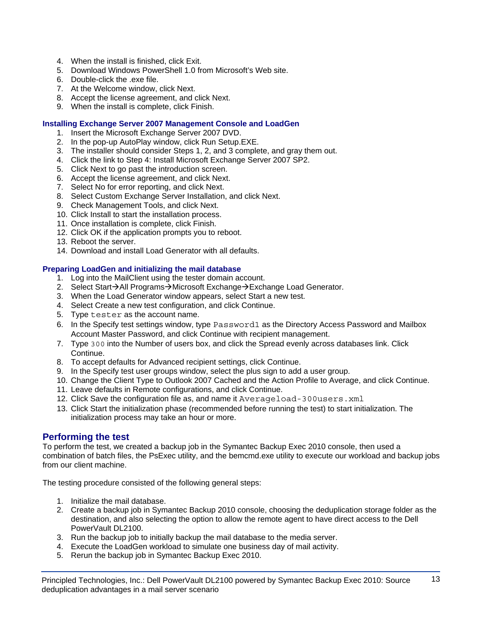- 4. When the install is finished, click Exit.
- 5. Download Windows PowerShell 1.0 from Microsoft's Web site.
- 6. Double-click the .exe file.
- 7. At the Welcome window, click Next.
- 8. Accept the license agreement, and click Next.
- 9. When the install is complete, click Finish.

#### **Installing Exchange Server 2007 Management Console and LoadGen**

- 1. Insert the Microsoft Exchange Server 2007 DVD.
- 2. In the pop-up AutoPlay window, click Run Setup.EXE.
- 3. The installer should consider Steps 1, 2, and 3 complete, and gray them out.
- 4. Click the link to Step 4: Install Microsoft Exchange Server 2007 SP2.
- 5. Click Next to go past the introduction screen.
- 6. Accept the license agreement, and click Next.
- 7. Select No for error reporting, and click Next.
- 8. Select Custom Exchange Server Installation, and click Next.
- 9. Check Management Tools, and click Next.
- 10. Click Install to start the installation process.
- 11. Once installation is complete, click Finish.
- 12. Click OK if the application prompts you to reboot.
- 13. Reboot the server.
- 14. Download and install Load Generator with all defaults.

#### **Preparing LoadGen and initializing the mail database**

- 1. Log into the MailClient using the tester domain account.
- 2. Select Start→All Programs→Microsoft Exchange→Exchange Load Generator.
- 3. When the Load Generator window appears, select Start a new test.
- 4. Select Create a new test configuration, and click Continue.
- 5. Type tester as the account name.
- 6. In the Specify test settings window, type Password1 as the Directory Access Password and Mailbox Account Master Password, and click Continue with recipient management.
- 7. Type 300 into the Number of users box, and click the Spread evenly across databases link. Click **Continue**
- 8. To accept defaults for Advanced recipient settings, click Continue.
- 9. In the Specify test user groups window, select the plus sign to add a user group.
- 10. Change the Client Type to Outlook 2007 Cached and the Action Profile to Average, and click Continue.
- 11. Leave defaults in Remote configurations, and click Continue.
- 12. Click Save the configuration file as, and name it Averageload-300users.xml
- 13. Click Start the initialization phase (recommended before running the test) to start initialization. The initialization process may take an hour or more.

### **Performing the test**

To perform the test, we created a backup job in the Symantec Backup Exec 2010 console, then used a combination of batch files, the PsExec utility, and the bemcmd.exe utility to execute our workload and backup jobs from our client machine.

The testing procedure consisted of the following general steps:

- 1. Initialize the mail database.
- 2. Create a backup job in Symantec Backup 2010 console, choosing the deduplication storage folder as the destination, and also selecting the option to allow the remote agent to have direct access to the Dell PowerVault DL2100.
- 3. Run the backup job to initially backup the mail database to the media server.
- 4. Execute the LoadGen workload to simulate one business day of mail activity.
- 5. Rerun the backup job in Symantec Backup Exec 2010.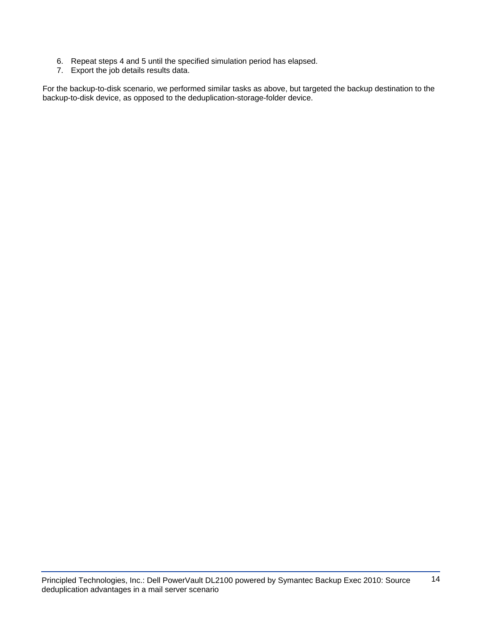- 6. Repeat steps 4 and 5 until the specified simulation period has elapsed.
- 7. Export the job details results data.

For the backup-to-disk scenario, we performed similar tasks as above, but targeted the backup destination to the backup-to-disk device, as opposed to the deduplication-storage-folder device.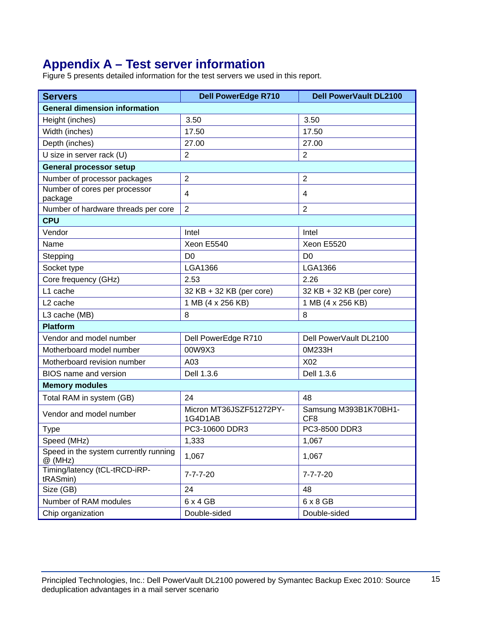# **Appendix A – Test server information**

Figure 5 presents detailed information for the test servers we used in this report.

| <b>Servers</b>                                     | <b>Dell PowerEdge R710</b>         | <b>Dell PowerVault DL2100</b>            |  |  |
|----------------------------------------------------|------------------------------------|------------------------------------------|--|--|
| <b>General dimension information</b>               |                                    |                                          |  |  |
| Height (inches)                                    | 3.50                               | 3.50                                     |  |  |
| Width (inches)                                     | 17.50                              | 17.50                                    |  |  |
| Depth (inches)                                     | 27.00                              | 27.00                                    |  |  |
| U size in server rack (U)                          | $\overline{2}$                     | $\overline{2}$                           |  |  |
| <b>General processor setup</b>                     |                                    |                                          |  |  |
| Number of processor packages                       | $\overline{2}$                     | $\overline{2}$                           |  |  |
| Number of cores per processor<br>package           | 4                                  | 4                                        |  |  |
| Number of hardware threads per core                | $\overline{2}$                     | $\overline{2}$                           |  |  |
| <b>CPU</b>                                         |                                    |                                          |  |  |
| Vendor                                             | Intel                              | Intel                                    |  |  |
| Name                                               | Xeon E5540                         | Xeon E5520                               |  |  |
| Stepping                                           | D <sub>0</sub>                     | D <sub>0</sub>                           |  |  |
| Socket type                                        | <b>LGA1366</b>                     | LGA1366                                  |  |  |
| Core frequency (GHz)                               | 2.53                               | 2.26                                     |  |  |
| L1 cache                                           | 32 KB + 32 KB (per core)           | 32 KB + 32 KB (per core)                 |  |  |
| L <sub>2</sub> cache                               | 1 MB (4 x 256 KB)                  | 1 MB (4 x 256 KB)                        |  |  |
| L3 cache (MB)                                      | 8                                  | 8                                        |  |  |
| <b>Platform</b>                                    |                                    |                                          |  |  |
| Vendor and model number                            | Dell PowerEdge R710                | Dell PowerVault DL2100                   |  |  |
| Motherboard model number                           | 00W9X3                             | 0M233H                                   |  |  |
| Motherboard revision number                        | A03                                | X02                                      |  |  |
| <b>BIOS</b> name and version                       | Dell 1.3.6                         | Dell 1.3.6                               |  |  |
| <b>Memory modules</b>                              |                                    |                                          |  |  |
| Total RAM in system (GB)                           | 24                                 | 48                                       |  |  |
| Vendor and model number                            | Micron MT36JSZF51272PY-<br>1G4D1AB | Samsung M393B1K70BH1-<br>CF <sub>8</sub> |  |  |
| <b>Type</b>                                        | PC3-10600 DDR3                     | PC3-8500 DDR3                            |  |  |
| Speed (MHz)                                        | 1,333                              | 1,067                                    |  |  |
| Speed in the system currently running<br>$@$ (MHz) | 1,067                              | 1,067                                    |  |  |
| Timing/latency (tCL-tRCD-iRP-<br>tRASmin)          | $7 - 7 - 7 - 20$                   | $7 - 7 - 7 - 20$                         |  |  |
| Size (GB)                                          | 24                                 | 48                                       |  |  |
| Number of RAM modules                              | $6 \times 4$ GB                    | $6 \times 8$ GB                          |  |  |
| Chip organization                                  | Double-sided                       | Double-sided                             |  |  |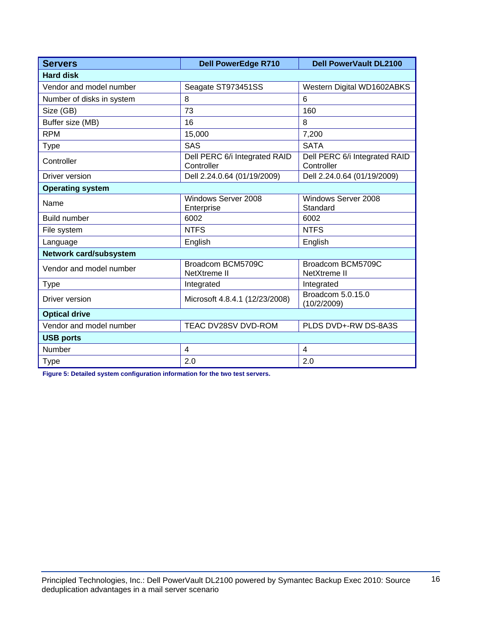| <b>Servers</b>            | <b>Dell PowerEdge R710</b>                  | <b>Dell PowerVault DL2100</b>               |  |  |  |
|---------------------------|---------------------------------------------|---------------------------------------------|--|--|--|
| <b>Hard disk</b>          |                                             |                                             |  |  |  |
| Vendor and model number   | Seagate ST973451SS                          | Western Digital WD1602ABKS                  |  |  |  |
| Number of disks in system | 8                                           | 6                                           |  |  |  |
| Size (GB)                 | 73                                          | 160                                         |  |  |  |
| Buffer size (MB)          | 16                                          | 8                                           |  |  |  |
| <b>RPM</b>                | 15,000                                      | 7,200                                       |  |  |  |
| <b>Type</b>               | <b>SAS</b>                                  | <b>SATA</b>                                 |  |  |  |
| Controller                | Dell PERC 6/i Integrated RAID<br>Controller | Dell PERC 6/i Integrated RAID<br>Controller |  |  |  |
| Driver version            | Dell 2.24.0.64 (01/19/2009)                 | Dell 2.24.0.64 (01/19/2009)                 |  |  |  |
| <b>Operating system</b>   |                                             |                                             |  |  |  |
| Name                      | Windows Server 2008<br>Enterprise           | Windows Server 2008<br>Standard             |  |  |  |
| <b>Build number</b>       | 6002                                        | 6002                                        |  |  |  |
| File system               | <b>NTFS</b>                                 | <b>NTFS</b>                                 |  |  |  |
| Language                  | English                                     | English                                     |  |  |  |
| Network card/subsystem    |                                             |                                             |  |  |  |
| Vendor and model number   | Broadcom BCM5709C<br><b>NetXtreme II</b>    | Broadcom BCM5709C<br>NetXtreme II           |  |  |  |
| <b>Type</b>               | Integrated                                  | Integrated                                  |  |  |  |
| Driver version            | Microsoft 4.8.4.1 (12/23/2008)              | Broadcom 5.0.15.0<br>(10/2/2009)            |  |  |  |
| <b>Optical drive</b>      |                                             |                                             |  |  |  |
| Vendor and model number   | TEAC DV28SV DVD-ROM                         | PLDS DVD+-RW DS-8A3S                        |  |  |  |
| <b>USB ports</b>          |                                             |                                             |  |  |  |
| Number                    | $\overline{4}$                              | $\overline{4}$                              |  |  |  |
| <b>Type</b>               | 2.0                                         | 2.0                                         |  |  |  |

**Figure 5: Detailed system configuration information for the two test servers.**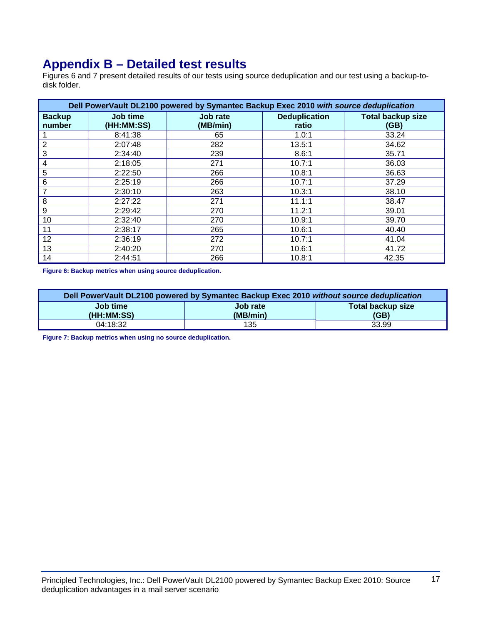## **Appendix B – Detailed test results**

Figures 6 and 7 present detailed results of our tests using source deduplication and our test using a backup-todisk folder.

| Dell PowerVault DL2100 powered by Symantec Backup Exec 2010 with source deduplication |                        |                      |                               |                                  |  |
|---------------------------------------------------------------------------------------|------------------------|----------------------|-------------------------------|----------------------------------|--|
| <b>Backup</b><br>number                                                               | Job time<br>(HH:MM:SS) | Job rate<br>(MB/min) | <b>Deduplication</b><br>ratio | <b>Total backup size</b><br>(GB) |  |
|                                                                                       | 8:41:38                | 65                   | 1.0:1                         | 33.24                            |  |
| $\overline{2}$                                                                        | 2:07:48                | 282                  | 13.5:1                        | 34.62                            |  |
| 3                                                                                     | 2:34:40                | 239                  | 8.6:1                         | 35.71                            |  |
| 4                                                                                     | 2:18:05                | 271                  | 10.7:1                        | 36.03                            |  |
| 5                                                                                     | 2:22:50                | 266                  | 10.8:1                        | 36.63                            |  |
| 6                                                                                     | 2:25:19                | 266                  | 10.7:1                        | 37.29                            |  |
| 7                                                                                     | 2:30:10                | 263                  | 10.3:1                        | 38.10                            |  |
| 8                                                                                     | 2:27:22                | 271                  | 11.1:1                        | 38.47                            |  |
| 9                                                                                     | 2:29:42                | 270                  | 11.2:1                        | 39.01                            |  |
| 10                                                                                    | 2:32:40                | 270                  | 10.9:1                        | 39.70                            |  |
| 11                                                                                    | 2:38:17                | 265                  | 10.6:1                        | 40.40                            |  |
| 12                                                                                    | 2:36:19                | 272                  | 10.7:1                        | 41.04                            |  |
| 13                                                                                    | 2:40:20                | 270                  | 10.6:1                        | 41.72                            |  |
| 14                                                                                    | 2:44:51                | 266                  | 10.8:1                        | 42.35                            |  |

**Figure 6: Backup metrics when using source deduplication.** 

| Dell PowerVault DL2100 powered by Symantec Backup Exec 2010 without source deduplication |          |                   |  |  |  |
|------------------------------------------------------------------------------------------|----------|-------------------|--|--|--|
| Job time                                                                                 | Job rate | Total backup size |  |  |  |
| (HH:MM:SS)                                                                               | (MB/min) | (GB)              |  |  |  |
| 04:18:32                                                                                 | 135      | 33.99             |  |  |  |

**Figure 7: Backup metrics when using no source deduplication.**